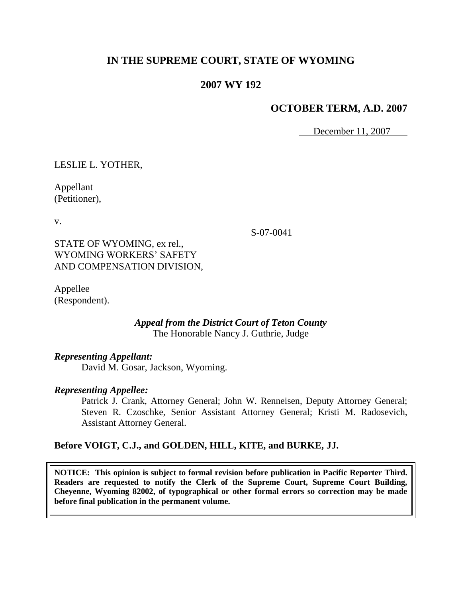# **IN THE SUPREME COURT, STATE OF WYOMING**

# **2007 WY 192**

# **OCTOBER TERM, A.D. 2007**

December 11, 2007

LESLIE L. YOTHER, Appellant (Petitioner), v. STATE OF WYOMING, ex rel., WYOMING WORKERS' SAFETY AND COMPENSATION DIVISION,

Appellee (Respondent).

> *Appeal from the District Court of Teton County* The Honorable Nancy J. Guthrie, Judge

# *Representing Appellant:*

David M. Gosar, Jackson, Wyoming.

# *Representing Appellee:*

Patrick J. Crank, Attorney General; John W. Renneisen, Deputy Attorney General; Steven R. Czoschke, Senior Assistant Attorney General; Kristi M. Radosevich, Assistant Attorney General.

# **Before VOIGT, C.J., and GOLDEN, HILL, KITE, and BURKE, JJ.**

**NOTICE: This opinion is subject to formal revision before publication in Pacific Reporter Third. Readers are requested to notify the Clerk of the Supreme Court, Supreme Court Building, Cheyenne, Wyoming 82002, of typographical or other formal errors so correction may be made before final publication in the permanent volume.**

S-07-0041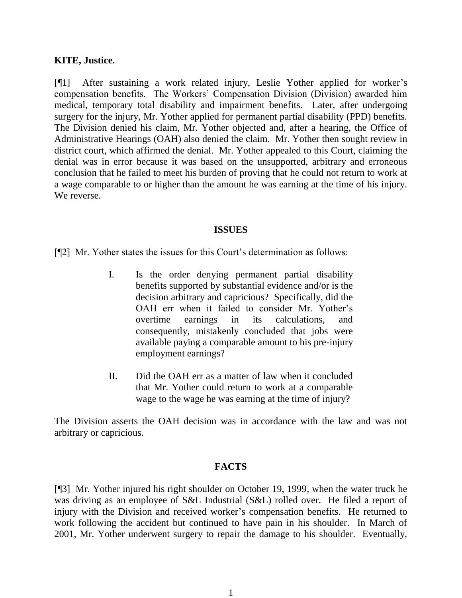### **KITE, Justice.**

[¶1] After sustaining a work related injury, Leslie Yother applied for worker's compensation benefits. The Workers' Compensation Division (Division) awarded him medical, temporary total disability and impairment benefits. Later, after undergoing surgery for the injury, Mr. Yother applied for permanent partial disability (PPD) benefits. The Division denied his claim, Mr. Yother objected and, after a hearing, the Office of Administrative Hearings (OAH) also denied the claim. Mr. Yother then sought review in district court, which affirmed the denial. Mr. Yother appealed to this Court, claiming the denial was in error because it was based on the unsupported, arbitrary and erroneous conclusion that he failed to meet his burden of proving that he could not return to work at a wage comparable to or higher than the amount he was earning at the time of his injury. We reverse.

#### **ISSUES**

[¶2] Mr. Yother states the issues for this Court's determination as follows:

- I. Is the order denying permanent partial disability benefits supported by substantial evidence and/or is the decision arbitrary and capricious? Specifically, did the OAH err when it failed to consider Mr. Yother's overtime earnings in its calculations, and consequently, mistakenly concluded that jobs were available paying a comparable amount to his pre-injury employment earnings?
- II. Did the OAH err as a matter of law when it concluded that Mr. Yother could return to work at a comparable wage to the wage he was earning at the time of injury?

The Division asserts the OAH decision was in accordance with the law and was not arbitrary or capricious.

# **FACTS**

[¶3] Mr. Yother injured his right shoulder on October 19, 1999, when the water truck he was driving as an employee of S&L Industrial (S&L) rolled over. He filed a report of injury with the Division and received worker's compensation benefits. He returned to work following the accident but continued to have pain in his shoulder. In March of 2001, Mr. Yother underwent surgery to repair the damage to his shoulder. Eventually,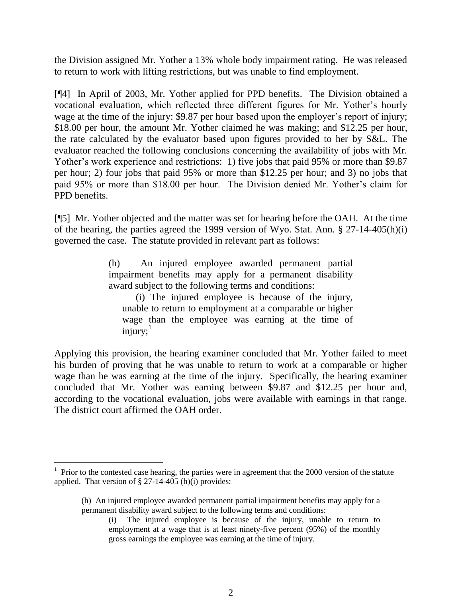the Division assigned Mr. Yother a 13% whole body impairment rating. He was released to return to work with lifting restrictions, but was unable to find employment.

[¶4] In April of 2003, Mr. Yother applied for PPD benefits. The Division obtained a vocational evaluation, which reflected three different figures for Mr. Yother's hourly wage at the time of the injury: \$9.87 per hour based upon the employer's report of injury; \$18.00 per hour, the amount Mr. Yother claimed he was making; and \$12.25 per hour, the rate calculated by the evaluator based upon figures provided to her by S&L. The evaluator reached the following conclusions concerning the availability of jobs with Mr. Yother's work experience and restrictions: 1) five jobs that paid 95% or more than \$9.87 per hour; 2) four jobs that paid 95% or more than \$12.25 per hour; and 3) no jobs that paid 95% or more than \$18.00 per hour. The Division denied Mr. Yother's claim for PPD benefits.

[¶5] Mr. Yother objected and the matter was set for hearing before the OAH. At the time of the hearing, the parties agreed the 1999 version of Wyo. Stat. Ann. § 27-14-405(h)(i) governed the case. The statute provided in relevant part as follows:

> (h) An injured employee awarded permanent partial impairment benefits may apply for a permanent disability award subject to the following terms and conditions:

(i) The injured employee is because of the injury, unable to return to employment at a comparable or higher wage than the employee was earning at the time of injury; $1$ 

Applying this provision, the hearing examiner concluded that Mr. Yother failed to meet his burden of proving that he was unable to return to work at a comparable or higher wage than he was earning at the time of the injury. Specifically, the hearing examiner concluded that Mr. Yother was earning between \$9.87 and \$12.25 per hour and, according to the vocational evaluation, jobs were available with earnings in that range. The district court affirmed the OAH order.

 $1$  Prior to the contested case hearing, the parties were in agreement that the 2000 version of the statute applied. That version of  $\S$  27-14-405 (h)(i) provides:

<sup>(</sup>h) An injured employee awarded permanent partial impairment benefits may apply for a permanent disability award subject to the following terms and conditions:

<sup>(</sup>i) The injured employee is because of the injury, unable to return to employment at a wage that is at least ninety-five percent (95%) of the monthly gross earnings the employee was earning at the time of injury.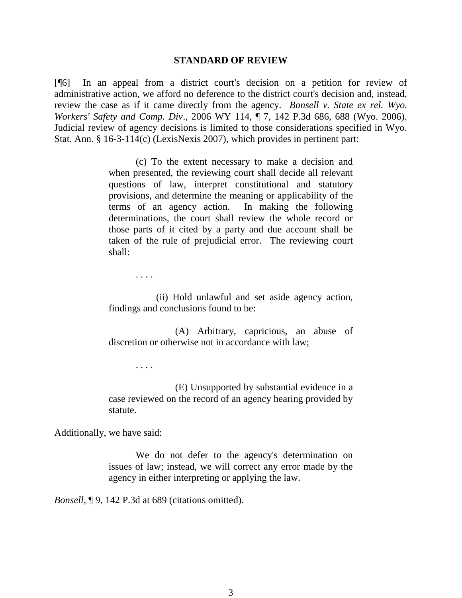#### **STANDARD OF REVIEW**

[¶6] In an appeal from a district court's decision on a petition for review of administrative action, we afford no deference to the district court's decision and, instead, review the case as if it came directly from the agency. *Bonsell v. State ex rel. Wyo. Workers' Safety and Comp. Div*., 2006 WY 114, ¶ 7, 142 P.3d 686, 688 (Wyo. 2006). Judicial review of agency decisions is limited to those considerations specified in Wyo. Stat. Ann. § 16-3-114(c) (LexisNexis 2007), which provides in pertinent part:

> (c) To the extent necessary to make a decision and when presented, the reviewing court shall decide all relevant questions of law, interpret constitutional and statutory provisions, and determine the meaning or applicability of the terms of an agency action. In making the following determinations, the court shall review the whole record or those parts of it cited by a party and due account shall be taken of the rule of prejudicial error. The reviewing court shall:

. . . .

(ii) Hold unlawful and set aside agency action, findings and conclusions found to be:

 (A) Arbitrary, capricious, an abuse of discretion or otherwise not in accordance with law;

. . . .

 (E) Unsupported by substantial evidence in a case reviewed on the record of an agency hearing provided by statute.

Additionally, we have said:

We do not defer to the agency's determination on issues of law; instead, we will correct any error made by the agency in either interpreting or applying the law.

*Bonsell*, **[9, 142 P.3d at 689 (citations omitted).**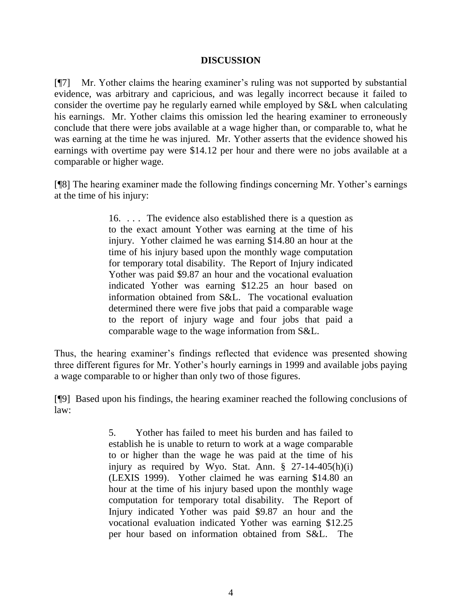# **DISCUSSION**

[¶7] Mr. Yother claims the hearing examiner's ruling was not supported by substantial evidence, was arbitrary and capricious, and was legally incorrect because it failed to consider the overtime pay he regularly earned while employed by S&L when calculating his earnings. Mr. Yother claims this omission led the hearing examiner to erroneously conclude that there were jobs available at a wage higher than, or comparable to, what he was earning at the time he was injured. Mr. Yother asserts that the evidence showed his earnings with overtime pay were \$14.12 per hour and there were no jobs available at a comparable or higher wage.

[¶8] The hearing examiner made the following findings concerning Mr. Yother's earnings at the time of his injury:

> 16. . . . The evidence also established there is a question as to the exact amount Yother was earning at the time of his injury. Yother claimed he was earning \$14.80 an hour at the time of his injury based upon the monthly wage computation for temporary total disability. The Report of Injury indicated Yother was paid \$9.87 an hour and the vocational evaluation indicated Yother was earning \$12.25 an hour based on information obtained from S&L. The vocational evaluation determined there were five jobs that paid a comparable wage to the report of injury wage and four jobs that paid a comparable wage to the wage information from S&L.

Thus, the hearing examiner's findings reflected that evidence was presented showing three different figures for Mr. Yother's hourly earnings in 1999 and available jobs paying a wage comparable to or higher than only two of those figures.

[¶9] Based upon his findings, the hearing examiner reached the following conclusions of law:

> 5. Yother has failed to meet his burden and has failed to establish he is unable to return to work at a wage comparable to or higher than the wage he was paid at the time of his injury as required by Wyo. Stat. Ann.  $\S$  27-14-405(h)(i) (LEXIS 1999). Yother claimed he was earning \$14.80 an hour at the time of his injury based upon the monthly wage computation for temporary total disability. The Report of Injury indicated Yother was paid \$9.87 an hour and the vocational evaluation indicated Yother was earning \$12.25 per hour based on information obtained from S&L. The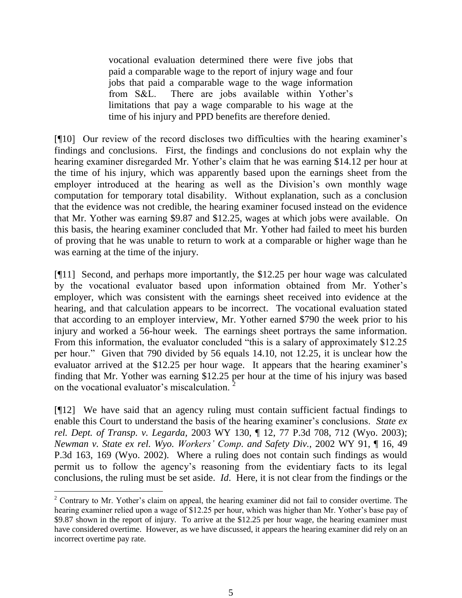vocational evaluation determined there were five jobs that paid a comparable wage to the report of injury wage and four jobs that paid a comparable wage to the wage information from S&L. There are jobs available within Yother's limitations that pay a wage comparable to his wage at the time of his injury and PPD benefits are therefore denied.

[¶10] Our review of the record discloses two difficulties with the hearing examiner's findings and conclusions. First, the findings and conclusions do not explain why the hearing examiner disregarded Mr. Yother's claim that he was earning \$14.12 per hour at the time of his injury, which was apparently based upon the earnings sheet from the employer introduced at the hearing as well as the Division's own monthly wage computation for temporary total disability. Without explanation, such as a conclusion that the evidence was not credible, the hearing examiner focused instead on the evidence that Mr. Yother was earning \$9.87 and \$12.25, wages at which jobs were available. On this basis, the hearing examiner concluded that Mr. Yother had failed to meet his burden of proving that he was unable to return to work at a comparable or higher wage than he was earning at the time of the injury.

[¶11] Second, and perhaps more importantly, the \$12.25 per hour wage was calculated by the vocational evaluator based upon information obtained from Mr. Yother's employer, which was consistent with the earnings sheet received into evidence at the hearing, and that calculation appears to be incorrect. The vocational evaluation stated that according to an employer interview, Mr. Yother earned \$790 the week prior to his injury and worked a 56-hour week. The earnings sheet portrays the same information. From this information, the evaluator concluded "this is a salary of approximately \$12.25" per hour." Given that 790 divided by 56 equals 14.10, not 12.25, it is unclear how the evaluator arrived at the \$12.25 per hour wage. It appears that the hearing examiner's finding that Mr. Yother was earning \$12.25 per hour at the time of his injury was based on the vocational evaluator's miscalculation. <sup>2</sup>

[¶12] We have said that an agency ruling must contain sufficient factual findings to enable this Court to understand the basis of the hearing examiner's conclusions. *State ex rel. Dept. of Transp. v. Legarda,* 2003 WY 130, ¶ 12, 77 P.3d 708, 712 (Wyo. 2003); *Newman v. State ex rel. Wyo. Workers' Comp. and Safety Div.*, 2002 WY 91, ¶ 16, 49 P.3d 163, 169 (Wyo. 2002). Where a ruling does not contain such findings as would permit us to follow the agency's reasoning from the evidentiary facts to its legal conclusions, the ruling must be set aside. *Id*. Here, it is not clear from the findings or the

<sup>&</sup>lt;sup>2</sup> Contrary to Mr. Yother's claim on appeal, the hearing examiner did not fail to consider overtime. The hearing examiner relied upon a wage of \$12.25 per hour, which was higher than Mr. Yother's base pay of \$9.87 shown in the report of injury. To arrive at the \$12.25 per hour wage, the hearing examiner must have considered overtime. However, as we have discussed, it appears the hearing examiner did rely on an incorrect overtime pay rate.